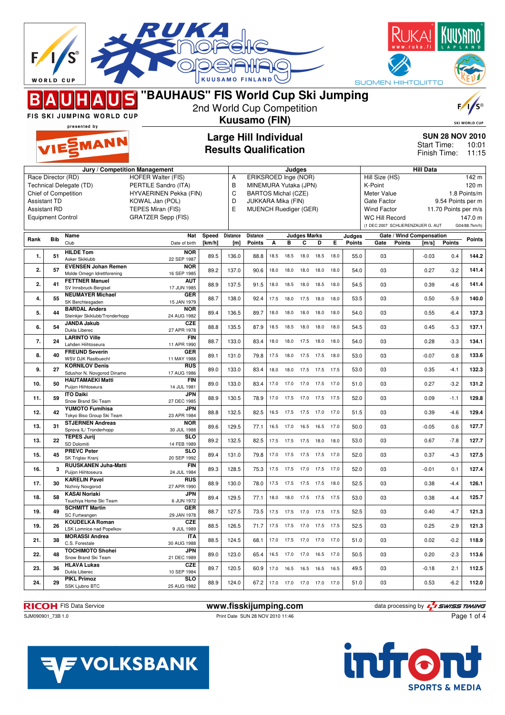|      | <b>WORLD CUP</b>                             |                                                          |                                                   |                     | <b>KUUSAMO FINLAND</b>       |                                                    |      |                              |                          |      |      |                  | SUOMEN HIIHTOLIITTO                        |                                       |               |                                           |
|------|----------------------------------------------|----------------------------------------------------------|---------------------------------------------------|---------------------|------------------------------|----------------------------------------------------|------|------------------------------|--------------------------|------|------|------------------|--------------------------------------------|---------------------------------------|---------------|-------------------------------------------|
|      |                                              |                                                          | "BAUHAUS" FIS World Cup Ski Jumping               |                     |                              |                                                    |      |                              |                          |      |      |                  |                                            |                                       |               |                                           |
|      |                                              | FIS SKI JUMPING WORLD CUP                                |                                                   |                     | 2nd World Cup Competition    |                                                    |      |                              |                          |      |      |                  |                                            |                                       |               |                                           |
|      |                                              | presented by                                             |                                                   |                     | Kuusamo (FIN)                |                                                    |      |                              |                          |      |      |                  |                                            |                                       |               | <b>SKI WORLD CUP</b>                      |
|      |                                              | VIESMANN                                                 |                                                   |                     | <b>Large Hill Individual</b> |                                                    |      |                              |                          |      |      |                  |                                            | <b>SUN 28 NOV 2010</b><br>Start Time: |               | 10:01                                     |
|      | <b>Results Qualification</b><br>Finish Time: |                                                          |                                                   |                     |                              |                                                    |      |                              |                          |      |      |                  | 11:15                                      |                                       |               |                                           |
|      |                                              |                                                          | Jury / Competition Management                     |                     |                              |                                                    |      | Judges                       |                          |      |      |                  |                                            | <b>Hill Data</b>                      |               |                                           |
|      | Race Director (RD)                           | Technical Delegate (TD)                                  | <b>HOFER Walter (FIS)</b><br>PERTILE Sandro (ITA) |                     | Α<br>B                       | ERIKSROED Inge (NOR)<br>MINEMURA Yutaka (JPN)      |      |                              |                          |      |      |                  | Hill Size (HS)<br>K-Point                  |                                       |               | $\overline{1}$ 42 m<br>120 <sub>m</sub>   |
|      |                                              | Chief of Competition                                     | <b>HYVAERINEN Pekka (FIN)</b>                     |                     | C                            | <b>BARTOS Michal (CZE)</b>                         |      |                              |                          |      |      |                  | Meter Value                                |                                       |               | 1.8 Points/m                              |
|      | <b>Assistant TD</b><br><b>Assistant RD</b>   |                                                          | KOWAL Jan (POL)<br>TEPES Miran (FIS)              |                     | D<br>E                       | JUKKARA Mika (FIN)<br><b>MUENCH Ruediger (GER)</b> |      |                              |                          |      |      |                  | Gate Factor<br><b>Wind Factor</b>          |                                       |               | 9.54 Points per m<br>11.70 Points per m/s |
|      | <b>Equipment Control</b>                     |                                                          | <b>GRATZER Sepp (FIS)</b>                         |                     |                              |                                                    |      |                              |                          |      |      |                  | <b>WC Hill Record</b>                      |                                       |               | 147.0 m                                   |
|      |                                              |                                                          |                                                   |                     |                              |                                                    |      |                              |                          |      |      |                  | (1 DEC 2007 SCHLIERENZAUER G. AUT          |                                       |               | G04/88.7km/h)                             |
| Rank | <b>Bib</b>                                   | Name<br>Club                                             | Nat<br>Date of birth                              | Speed<br>[ $km/h$ ] | <b>Distance</b><br>[m]       | <b>Distance</b><br><b>Points</b>                   | А    | B                            | <b>Judges Marks</b><br>C | D    | Е    | Judges<br>Points | Gate / Wind Compensation<br>Gate<br>Points | [m/s]                                 | <b>Points</b> | Points                                    |
| 1.   | 51                                           | <b>HILDE Tom</b><br>Asker Skiklubb                       | <b>NOR</b><br>22 SEP 1987                         | 89.5                | 136.0                        | 88.8                                               | 18.5 | 18.5                         | 18.0                     | 18.5 | 18.0 | 55.0             | 03                                         | $-0.03$                               | 0.4           | 144.2                                     |
| 2.   | 57                                           | <b>EVENSEN Johan Remen</b><br>Molde Omegn Idrettforening | <b>NOR</b><br>16 SEP 1985                         | 89.2                | 137.0                        | 90.6                                               | 18.0 | 18.0                         | 18.0 18.0                |      | 18.0 | 54.0             | 03                                         | 0.27                                  | $-3.2$        | 141.4                                     |
| 2.   | 41                                           | <b>FETTNER Manuel</b><br>SV Innsbruck-Bergisel           | AUT<br>17 JUN 1985                                | 88.9                | 137.5                        | 91.5                                               | 18.0 | 18.5                         | 18.0                     | 18.5 | 18.0 | 54.5             | 03                                         | 0.39                                  | $-4.6$        | 141.4                                     |
| 4.   | 55                                           | <b>NEUMAYER Michael</b><br>SK Berchtesgaden              | GER<br>15 JAN 1979                                | 88.7                | 138.0                        | 92.4                                               | 17.5 | 18.0                         | 17.5 18.0                |      | 18.0 | 53.5             | 03                                         | 0.50                                  | $-5.9$        | 140.0                                     |
| 5.   | 44                                           | <b>BARDAL Anders</b><br>Steinkjer Skiklubb/Tronderhopp   | <b>NOR</b><br>24 AUG 1982                         | 89.4                | 136.5                        | 89.7                                               | 18.0 | 18.0                         | 18.0                     | 18.0 | 18.0 | 54.0             | 03                                         | 0.55                                  | $-6.4$        | 137.3                                     |
| 6.   | 54                                           | <b>JANDA Jakub</b><br>Dukla Liberec                      | <b>CZE</b><br>27 APR 1978                         | 88.8                | 135.5                        | 87.9                                               | 18.5 | 18.5 18.0                    |                          | 18.0 | 18.0 | 54.5             | 03                                         | 0.45                                  | $-5.3$        | 137.1                                     |
| 7.   | 24                                           | <b>LARINTO Ville</b><br>Lahden Hiihtoseura               | <b>FIN</b><br>11 APR 1990                         | 88.7                | 133.0                        | 83.4                                               | 18.0 | 18.0 17.5 18.0               |                          |      | 18.0 | 54.0             | 03                                         | 0.28                                  | $-3.3$        | 134.1                                     |
| 8.   | 40                                           | <b>FREUND Severin</b><br><b>WSV DJK Rastbuechl</b>       | <b>GER</b><br>11 MAY 1988                         | 89.1                | 131.0                        | 79.8                                               | 17.5 | 18.0                         | 17.5 17.5                |      | 18.0 | 53.0             | 03                                         | $-0.07$                               | 0.8           | 133.6                                     |
| 9.   | 27                                           | <b>KORNILOV Denis</b><br>Sdushor N. Novgorod Dinamo      | <b>RUS</b><br>17 AUG 1986                         | 89.0                | 133.0                        | 83.4                                               | 18.0 | 18.0                         | 17.5                     | 17.5 | 17.5 | 53.0             | 03                                         | 0.35                                  | $-4.1$        | 132.3                                     |
| 10.  | 50                                           | <b>HAUTAMAEKI Matti</b><br>Puijon Hiihtoseura            | <b>FIN</b><br>14 JUL 1981                         | 89.0                | 133.0                        | 83.4                                               | 17.0 | 17.0                         | 17.0                     | 17.5 | 17.0 | 51.0             | 03                                         | 0.27                                  | $-3.2$        | 131.2                                     |
| 11.  | 59                                           | <b>ITO Daiki</b><br>Snow Brand Ski Team                  | <b>JPN</b><br>27 DEC 1985                         | 88.9                | 130.5                        | 78.9                                               |      | 17.0  17.5  17.0             |                          | 17.5 | 17.5 | 52.0             | 03                                         | 0.09                                  | $-1.1$        | 129.8                                     |
| 12.  | 42                                           | YUMOTO Fumihisa<br>Tokyo Biso Group Ski Team             | JPN<br>23 APR 1984                                | 88.8                | 132.5                        | 82.5                                               |      | 16.5 17.5 17.5 17.0 17.0     |                          |      |      | 51.5             | 03                                         | 0.39                                  | $-4.6$        | 129.4                                     |
| 13.  | 31                                           | <b>STJERNEN Andreas</b><br>Sprova IL/ Tronderhopp        | <b>NOR</b><br>30 JUL 1988                         | 89.6                | 129.5                        | 77.1                                               |      | 16.5 17.0 16.5 16.5 17.0     |                          |      |      | 50.0             | 03                                         | $-0.05$                               | 0.6           | 127.7                                     |
| 13.  | 22                                           | <b>TEPES Jurij</b><br>SD Dolomiti                        | <b>SLO</b><br>14 FEB 1989                         | 89.2                | 132.5                        | 82.5                                               |      | 17.5 17.5 17.5 18.0 18.0     |                          |      |      | 53.0             | 03                                         | 0.67                                  | $-7.8$        | 127.7                                     |
| 15.  | 45                                           | <b>PREVC Peter</b><br>SK Triglav Kranj                   | <b>SLO</b><br>20 SEP 1992                         | 89.4                | 131.0                        | 79.8                                               |      | 17.0  17.5  17.5  17.5  17.0 |                          |      |      | 52.0             | 03                                         | 0.37                                  | $-4.3$        | 127.5                                     |
| 16.  | $\mathbf{a}$                                 | RUUSKANEN Juha-Matti<br>Puijon Hiihtoseura               | <b>FIN</b><br>24 JUL 1984                         | 89.3                | 128.5                        | 75.3                                               |      | 17.5 17.5 17.0 17.5 17.0     |                          |      |      | 52.0             | 03                                         | $-0.01$                               | 0.1           | 127.4                                     |
| 17.  | 30                                           | <b>KARELIN Pavel</b><br>Nizhniy Novgorod                 | <b>RUS</b><br>27 APR 1990                         | 88.9                | 130.0                        | 78.0                                               |      | 17.5  17.5  17.5  17.5  18.0 |                          |      |      | 52.5             | 03                                         | 0.38                                  | -4.4          | 126.1                                     |
| 18.  | 58                                           | <b>KASAI Noriaki</b><br>Tsuchiya Home Ski Team           | <b>JPN</b><br>6 JUN 1972                          | 89.4                | 129.5                        | 77.1                                               |      | 18.0 18.0 17.5 17.5 17.5     |                          |      |      | 53.0             | 03                                         | 0.38                                  | $-4.4$        | 125.7                                     |
| 19.  | 49                                           | <b>SCHMITT Martin</b><br>SC Furtwangen                   | GER<br>29 JAN 1978                                | 88.7                | 127.5                        | 73.5                                               |      | 17.5 17.5 17.0 17.5 17.5     |                          |      |      | 52.5             | 03                                         | 0.40                                  | $-4.7$        | 121.3                                     |
| 19.  | 26                                           | <b>KOUDELKA Roman</b><br>LSK Lomnice nad Popelkov        | <b>CZE</b><br>9 JUL 1989                          | 88.5                | 126.5                        | 71.7                                               |      | 17.5 17.5 17.0 17.5 17.5     |                          |      |      | 52.5             | 03                                         | 0.25                                  | $-2.9$        | 121.3                                     |
| 21.  | 38                                           | <b>MORASSI Andrea</b><br>C.S. Forestale                  | <b>ITA</b><br>30 AUG 1988                         | 88.5                | 124.5                        | 68.1                                               |      | 17.0  17.5  17.0  17.0  17.0 |                          |      |      | 51.0             | 03                                         | 0.02                                  | $-0.2$        | 118.9                                     |
| 22.  | 48                                           | <b>TOCHIMOTO Shohei</b><br>Snow Brand Ski Team           | <b>JPN</b><br>21 DEC 1989                         | 89.0                | 123.0                        | 65.4                                               |      | 16.5 17.0 17.0 16.5 17.0     |                          |      |      | 50.5             | 03                                         | 0.20                                  | $-2.3$        | 113.6                                     |
| 23.  | 36                                           | <b>HLAVA Lukas</b><br>Dukla Liberec                      | <b>CZE</b><br>10 SEP 1984                         | 89.7                | 120.5                        | 60.9                                               |      | 17.0 16.5 16.5 16.5          |                          |      | 16.5 | 49.5             | 03                                         | $-0.18$                               | 2.1           | 112.5                                     |
| 24.  | 29                                           | <b>PIKL Primoz</b><br>SSK Ljubno BTC                     | <b>SLO</b><br>25 AUG 1982                         | 88.9                | 124.0                        | 67.2                                               |      | 17.0  17.0  17.0  17.0  17.0 |                          |      |      | 51.0             | 03                                         | 0.53                                  | $-6.2$        | 112.0                                     |

**RICOH** FIS Data Service **www.fisskijumping.com** data processing by  $\frac{7}{2}$  SWISS TIMING

SJM090901\_73B 1.0 Print Date SUN 28 NOV 2010 11:46



Page 1 of 4

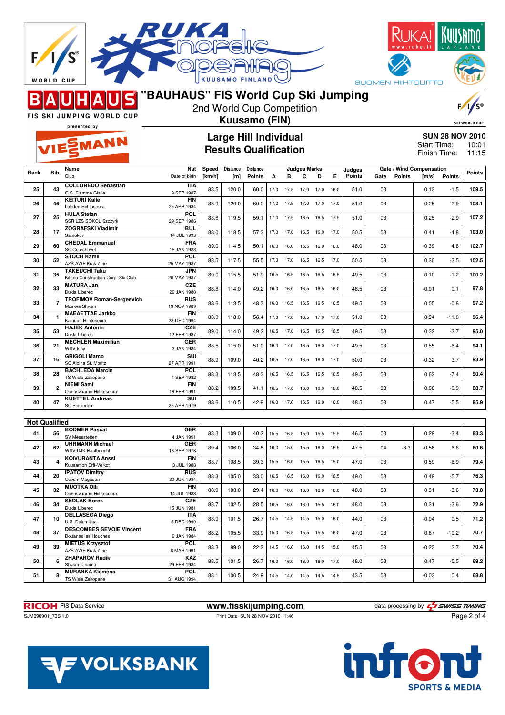|                                                                  | <b>WORLD CUP</b>                                           |                                                         |                             |        | <b>KUUSAMO FINLA</b> |                              |      |           |                              |      |      |               |      |               | <b>SUOMEN HIIHTOLIITTO</b>         |         |                        |
|------------------------------------------------------------------|------------------------------------------------------------|---------------------------------------------------------|-----------------------------|--------|----------------------|------------------------------|------|-----------|------------------------------|------|------|---------------|------|---------------|------------------------------------|---------|------------------------|
| "BAUHAUS" FIS World Cup Ski Jumping<br>2nd World Cup Competition |                                                            |                                                         |                             |        |                      |                              |      |           |                              |      |      |               |      |               |                                    |         |                        |
|                                                                  | FIS SKI JUMPING WORLD CUP<br>Kuusamo (FIN)<br>presented by |                                                         |                             |        |                      |                              |      |           |                              |      |      |               |      |               | <b>SKI WORLD CUP</b>               |         |                        |
|                                                                  |                                                            |                                                         |                             |        |                      | <b>Large Hill Individual</b> |      |           |                              |      |      |               |      |               |                                    |         | <b>SUN 28 NOV 2010</b> |
|                                                                  |                                                            | <b>NESMANN</b>                                          |                             |        |                      | <b>Results Qualification</b> |      |           |                              |      |      |               |      |               | <b>Start Time:</b><br>Finish Time: |         | 10:01<br>11:15         |
| Rank                                                             | <b>Bib</b>                                                 | Name                                                    | Nat                         | Speed  | Distance             | Distance                     |      |           | Judges Marks                 |      |      | Judges        |      |               | Gate / Wind Compensation           |         | <b>Points</b>          |
|                                                                  |                                                            | Club<br><b>COLLOREDO Sebastian</b>                      | Date of birth<br><b>ITA</b> | [km/h] | [m]                  | <b>Points</b>                | A    | в         | C                            | D    | E.   | <b>Points</b> | Gate | <b>Points</b> | [m/s]                              | Points  |                        |
| 25.                                                              | 43                                                         | G.S. Fiamme Gialle                                      | 9 SEP 1987                  | 88.5   | 120.0                | 60.0                         | 17.0 | 17.5      | 17.0                         | 17.0 | 16.0 | 51.0          | 03   |               | 0.13                               | $-1.5$  | 109.5                  |
| 26.                                                              | 46                                                         | <b>KEITURI Kalle</b><br>Lahden Hiihtoseura              | <b>FIN</b><br>25 APR 1984   | 88.9   | 120.0                | 60.0                         |      | 17.0 17.5 | 17.0                         | 17.0 | 17.0 | 51.0          | 03   |               | 0.25                               | $-2.9$  | 108.1                  |
| 27.                                                              | 25                                                         | <b>HULA Stefan</b><br>SSR LZS SOKOL Szczyrk             | POL<br>29 SEP 1986          | 88.6   | 119.5                | 59.1                         | 17.0 | 17.5      | 16.5                         | 16.5 | 17.5 | 51.0          | 03   |               | 0.25                               | $-2.9$  | 107.2                  |
| 28.                                                              | 17                                                         | <b>ZOGRAFSKI Vladimir</b><br>Samokov                    | <b>BUL</b><br>14 JUL 1993   | 88.0   | 118.5                | 57.3                         |      | 17.0 17.0 | 16.5                         | 16.0 | 17.0 | 50.5          | 03   |               | 0.41                               | $-4.8$  | 103.0                  |
| 29.                                                              | 60                                                         | <b>CHEDAL Emmanuel</b><br><b>SC Courchevel</b>          | <b>FRA</b>                  | 89.0   | 114.5                | 50.1                         | 16.0 | 16.0      | 15.5                         | 16.0 | 16.0 | 48.0          | 03   |               | $-0.39$                            | 4.6     | 102.7                  |
| 30.                                                              | 52                                                         | <b>STOCH Kamil</b>                                      | 15 JAN 1983<br><b>POL</b>   | 88.5   | 117.5                | 55.5                         | 17.0 | 17.0      | 16.5                         | 16.5 | 17.0 | 50.5          | 03   |               | 0.30                               | $-3.5$  | 102.5                  |
| 31.                                                              | 35                                                         | AZS AWF Krak Z-ne<br><b>TAKEUCHI Taku</b>               | 25 MAY 1987<br><b>JPN</b>   | 89.0   | 115.5                | 51.9                         | 16.5 | 16.5      | 16.5                         | 16.5 | 16.5 | 49.5          | 03   |               | 0.10                               | $-1.2$  | 100.2                  |
|                                                                  |                                                            | Kitano Construction Corp. Ski Club<br><b>MATURA Jan</b> | 20 MAY 1987<br>CZE          |        |                      |                              |      |           |                              |      |      |               |      |               |                                    |         |                        |
| 32.                                                              | 33                                                         | Dukla Liberec<br><b>TROFIMOV Roman-Sergeevich</b>       | 29 JAN 1980<br>RUS          | 88.8   | 114.0                | 49.2                         | 16.0 | 16.0      | 16.5 16.5                    |      | 16.0 | 48.5          | 03   |               | $-0.01$                            | 0.1     | 97.8                   |
| 33.                                                              | $\overline{\phantom{a}}$                                   | Moskva Shvsm<br><b>MAEAETTAE Jarkko</b>                 | 19 NOV 1989<br><b>FIN</b>   | 88.6   | 113.5                | 48.3                         | 16.0 | 16.5      | 16.5                         | 16.5 | 16.5 | 49.5          | 03   |               | 0.05                               | $-0.6$  | 97.2                   |
| 34.                                                              | 1                                                          | Kainuun Hiihtoseura                                     | 28 DEC 1994                 | 88.0   | 118.0                | 56.4                         | 17.0 | 17.0      | 16.5                         | 17.0 | 17.0 | 51.0          | 03   |               | 0.94                               | $-11.0$ | 96.4                   |
| 35.                                                              | 53                                                         | <b>HAJEK Antonin</b><br>Dukla Liberec                   | <b>CZE</b><br>12 FEB 1987   | 89.0   | 114.0                | 49.2                         | 16.5 | 17.0      | 16.5                         | 16.5 | 16.5 | 49.5          | 03   |               | 0.32                               | $-3.7$  | 95.0                   |
| 36.                                                              | 21                                                         | <b>MECHLER Maximilian</b><br>WSV Isny                   | <b>GER</b><br>3 JAN 1984    | 88.5   | 115.0                | 51.0                         | 16.0 | 17.0      | 16.5                         | 16.0 | 17.0 | 49.5          | 03   |               | 0.55                               | $-6.4$  | 94.1                   |
| 37.                                                              | 16                                                         | <b>GRIGOLI Marco</b><br>SC Alpina St. Moritz            | SUI<br>27 APR 1991          | 88.9   | 109.0                | 40.2                         |      | 16.5 17.0 | 16.5                         | 16.0 | 17.0 | 50.0          | 03   |               | $-0.32$                            | 3.7     | 93.9                   |
| 38.                                                              | 28                                                         | <b>BACHLEDA Marcin</b><br>TS Wisla Zakopane             | <b>POL</b>                  | 88.3   | 113.5                | 48.3                         |      | 16.5 16.5 | 16.5 16.5                    |      | 16.5 | 49.5          | 03   |               | 0.63                               | $-7.4$  | 90.4                   |
| 39.                                                              | $\overline{2}$                                             | <b>NIEMI Sami</b>                                       | 4 SEP 1982<br><b>FIN</b>    | 88.2   | 109.5                | 41.1                         |      |           | 16.5 17.0 16.0 16.0          |      | 16.0 | 48.5          | 03   |               | 0.08                               | $-0.9$  | 88.7                   |
| 40.                                                              | 47                                                         | Ounasvaaran Hiihtoseura<br><b>KUETTEL Andreas</b>       | 16 FEB 1991<br>SUI          | 88.6   | 110.5                | 42.9                         |      |           | 16.0 17.0 16.5 16.0 16.0     |      |      | 48.5          | 03   |               | 0.47                               | $-5.5$  | 85.9                   |
|                                                                  |                                                            | <b>SC Einsiedeln</b>                                    | 25 APR 1979                 |        |                      |                              |      |           |                              |      |      |               |      |               |                                    |         |                        |
|                                                                  | <b>Not Qualified</b>                                       |                                                         |                             |        |                      |                              |      |           |                              |      |      |               |      |               |                                    |         |                        |
| 41.                                                              | 56                                                         | <b>BODMER Pascal</b><br>SV Messstetten                  | <b>GER</b><br>4 JAN 1991    | 88.3   | 109.0                | 40.2                         |      |           | 15.5 16.5 15.0 15.5          |      | 15.5 | 46.5          | 03   |               | 0.29                               | $-3.4$  | 83.3                   |
| 42.                                                              | 62                                                         | <b>UHRMANN Michael</b><br>WSV DJK Rastbuechl            | <b>GER</b><br>16 SEP 1978   | 89.4   | 106.0                | 34.8                         |      |           | 16.0 15.0 15.5 16.0          |      | 16.5 | 47.5          | 04   | $-8.3$        | $-0.56$                            | 6.6     | 80.6                   |
| 43.                                                              | 4                                                          | <b>KOIVURANTA Anssi</b><br>Kuusamon Erä-Veikot          | <b>FIN</b><br>3 JUL 1988    | 88.7   | 108.5                | 39.3                         |      |           | 15.5  16.0  15.5  16.5  15.0 |      |      | 47.0          | 03   |               | 0.59                               | $-6.9$  | 79.4                   |
| 44.                                                              | 20                                                         | <b>IPATOV Dimitry</b>                                   | RUS                         | 88.3   | 105.0                | 33.0                         |      |           | 16.5 16.5 16.0 16.0 16.5     |      |      | 49.0          | 03   |               | 0.49                               | $-5.7$  | 76.3                   |
| 45.                                                              | 32                                                         | Osvsm Magadan<br><b>MUOTKA OIII</b>                     | 30 JUN 1984<br><b>FIN</b>   | 88.9   | 103.0                | 29.4                         |      |           | 16.0  16.0  16.0  16.0       |      | 16.0 | 48.0          | 03   |               | 0.31                               | $-3.6$  | 73.8                   |
|                                                                  |                                                            | Ounasvaaran Hiihtoseura<br><b>SEDLAK Borek</b>          | 14 JUL 1988<br><b>CZE</b>   | 88.7   | 102.5                | 28.5                         |      |           |                              |      |      | 48.0          | 03   |               | 0.31                               |         | 72.9                   |
| 46.                                                              | 34                                                         | Dukla Liberec<br><b>DELLASEGA Diego</b>                 | 15 JUN 1981<br><b>ITA</b>   |        |                      |                              |      |           | 16.5 16.0 16.0 15.5 16.0     |      |      |               |      |               |                                    | $-3.6$  |                        |
| 47.                                                              | 10                                                         | U.S. Dolomitica<br><b>DESCOMBES SEVOIE Vincent</b>      | 5 DEC 1990<br><b>FRA</b>    | 88.9   | 101.5                | 26.7                         |      |           | 14.5 14.5 14.5 15.0          |      | 16.0 | 44.0          | 03   |               | $-0.04$                            | 0.5     | 71.2                   |
| 48.                                                              | 37                                                         | Douanes les Houches<br><b>MIETUS Krzysztof</b>          | 9 JAN 1984                  | 88.2   | 105.5                | 33.9                         |      |           | 15.0  16.5  15.5  15.5  16.0 |      |      | 47.0          | 03   |               | 0.87                               | $-10.2$ | 70.7                   |
| 49.                                                              | 39                                                         | AZS AWF Krak Z-ne                                       | <b>POL</b><br>8 MAR 1991    | 88.3   | 99.0                 | 22.2                         |      |           | 14.5  16.0  16.0  14.5  15.0 |      |      | 45.5          | 03   |               | $-0.23$                            | 2.7     | 70.4                   |
| 50.                                                              | 6                                                          | <b>ZHAPAROV Radik</b><br>Shvsm Dinamo                   | <b>KAZ</b><br>29 FEB 1984   | 88.5   | 101.5                | 26.7                         |      |           | 16.0  16.0  16.0  16.0  17.0 |      |      | 48.0          | 03   |               | 0.47                               | $-5.5$  | 69.2                   |
| 51.                                                              | 8                                                          | <b>MURANKA Klemens</b><br>TS Wisla Zakopane             | POL<br>31 AUG 1994          | 88.1   | 100.5                | 24.9                         |      |           | 14.5  14.0  14.5  14.5  14.5 |      |      | 43.5          | 03   |               | $-0.03$                            | 0.4     | 68.8                   |

**RICOH** FIS Data Service **www.fisskijumping.com** data processing by  $\frac{7}{2}$  SWISS TIMING

SJM090901\_73B 1.0 Print Date SUN 28 NOV 2010 11:46



Page 2 of 4

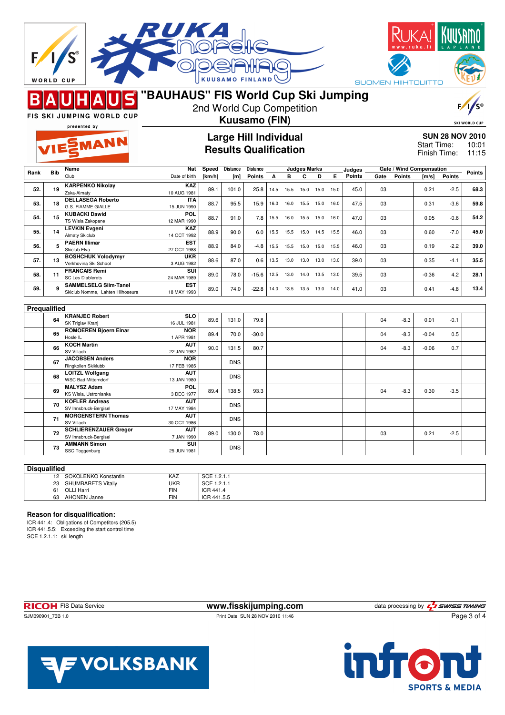|      | <b>WORLD CUP</b> | <b>FIS SKI JUMPING WORLD CUP</b><br>presented by<br><b>ILESMANN</b> | <b>KUUSAMO FI</b><br>"BAUHAUS" FIS World Cup Ski Jumping<br>2nd World Cup Competition<br><b>Kuusamo (FIN)</b><br><b>Large Hill Individual</b><br><b>Results Qualification</b> |        |                 |                 |      |           |                     |      |      |               | <b>SUOMEN HIIHTOLIITTO</b><br><b>SKI WORLD CUP</b><br><b>SUN 28 NOV 2010</b><br><b>Start Time:</b><br>10:01<br>Finish Time:<br>11:15 |               |                          |               |        |
|------|------------------|---------------------------------------------------------------------|-------------------------------------------------------------------------------------------------------------------------------------------------------------------------------|--------|-----------------|-----------------|------|-----------|---------------------|------|------|---------------|--------------------------------------------------------------------------------------------------------------------------------------|---------------|--------------------------|---------------|--------|
|      |                  | Name                                                                | Nat                                                                                                                                                                           | Speed  | <b>Distance</b> | <b>Distance</b> |      |           | <b>Judges Marks</b> |      |      | Judges        |                                                                                                                                      |               | Gate / Wind Compensation |               |        |
| Rank | <b>Bib</b>       | Club                                                                | Date of birth                                                                                                                                                                 | [km/h] | [m]             | <b>Points</b>   | А    | в         | С                   | D    | E.   | <b>Points</b> | Gate                                                                                                                                 | <b>Points</b> | [m/s]                    | <b>Points</b> | Points |
| 52.  | 19               | <b>KARPENKO Nikolay</b><br>Zska-Almaty                              | KAZ<br>10 AUG 1981                                                                                                                                                            | 89.1   | 101.0           | 25.8            | 14.5 | 15.5      | 15.0                | 15.0 | 15.0 | 45.0          | 03                                                                                                                                   |               | 0.21                     | $-2.5$        | 68.3   |
| 53.  | 18               | <b>DELLASEGA Roberto</b><br>G.S. FIAMME GIALLE                      | <b>ITA</b><br>15 JUN 1990                                                                                                                                                     | 88.7   | 95.5            | 15.9            | 16.0 | 16.0      | 15.5                | 15.0 | 16.0 | 47.5          | 03                                                                                                                                   |               | 0.31                     | $-3.6$        | 59.8   |
| 54.  | 15               | <b>KUBACKI Dawid</b><br>TS Wisla Zakopane                           | <b>POL</b><br>12 MAR 1990                                                                                                                                                     | 88.7   | 91.0            | 7.8             | 15.5 | 16.0      | 15.5                | 15.0 | 16.0 | 47.0          | 03                                                                                                                                   |               | 0.05                     | $-0.6$        | 54.2   |
| 55.  | 14               | <b>LEVKIN Evgeni</b><br>Almaty Skiclub                              | KAZ<br>14 OCT 1992                                                                                                                                                            | 88.9   | 90.0            | 6.0             |      | 15.5 15.5 | 15.0 14.5           |      | 15.5 | 46.0          | 03                                                                                                                                   |               | 0.60                     | $-7.0$        | 45.0   |
| 56.  | 5                | <b>PAERN Illimar</b><br>Skiclub Elva                                | EST<br>27 OCT 1988                                                                                                                                                            | 88.9   | 84.0            | -4.8            |      | 15.5 15.5 | 15.0 15.0           |      | 15.5 | 46.0          | 03                                                                                                                                   |               | 0.19                     | $-2.2$        | 39.0   |
| 57.  | 13               | <b>BOSHCHUK Volodymyr</b><br>Verkhovina Ski School                  | <b>UKR</b><br>3 AUG 1982                                                                                                                                                      | 88.6   | 87.0            | 0.6             | 13.5 | 13.0      | 13.0                | 13.0 | 13.0 | 39.0          | 03                                                                                                                                   |               | 0.35                     | $-4.1$        | 35.5   |
| 58.  | 11               | <b>FRANCAIS Remi</b><br><b>SC Les Diablerets</b>                    | SUI<br>24 MAR 1989                                                                                                                                                            | 89.0   | 78.0            | $-15.6$         |      | 12.5 13.0 | 14.0                | 13.5 | 13.0 | 39.5          | 03                                                                                                                                   |               | $-0.36$                  | 4.2           | 28.1   |
| 59.  | 9                | <b>SAMMELSELG Siim-Tanel</b><br>Skiclub Nomme, Lahten Hiihoseura    | <b>EST</b><br>18 MAY 1993                                                                                                                                                     | 89.0   | 74.0            | $-22.8$         | 14.0 | 13.5      | 13.5 13.0           |      | 14.0 | 41.0          | 03                                                                                                                                   |               | 0.41                     | -4.8          | 13.4   |
|      |                  |                                                                     |                                                                                                                                                                               |        |                 |                 |      |           |                     |      |      |               |                                                                                                                                      |               |                          |               |        |
|      | Prequalified     | <b>KRANJEC Robert</b>                                               | <b>SLO</b>                                                                                                                                                                    |        |                 |                 |      |           |                     |      |      |               |                                                                                                                                      |               |                          |               |        |
|      | 64               | SK Triglav Kranj                                                    | 16 JUL 1981                                                                                                                                                                   | 89.6   | 131.0           | 79.8            |      |           |                     |      |      |               | 04                                                                                                                                   | $-8.3$        | 0.01                     | $-0.1$        |        |
|      | 65               | <b>ROMOEREN Bjoern Einar</b><br>Hosle IL                            | <b>NOR</b><br>1 APR 1981                                                                                                                                                      | 89.4   | 70.0            | $-30.0$         |      |           |                     |      |      |               | 04                                                                                                                                   | $-8.3$        | $-0.04$                  | 0.5           |        |
|      | 66               | <b>KOCH Martin</b><br>SV Villach                                    | AUT<br>22 JAN 1982                                                                                                                                                            | 90.0   | 131.5           | 80.7            |      |           |                     |      |      |               | 04                                                                                                                                   | $-8.3$        | $-0.06$                  | 0.7           |        |
|      | 67               | <b>JACOBSEN Anders</b><br>Ringkollen Skiklubb                       | <b>NOR</b><br>17 FEB 1985                                                                                                                                                     |        | <b>DNS</b>      |                 |      |           |                     |      |      |               |                                                                                                                                      |               |                          |               |        |
|      | 68               | <b>LOITZL Wolfgang</b><br><b>WSC Bad Mitterndorf</b>                | AUT<br>13 JAN 1980                                                                                                                                                            |        | <b>DNS</b>      |                 |      |           |                     |      |      |               |                                                                                                                                      |               |                          |               |        |
|      | 69               | <b>MALYSZ Adam</b><br>KS Wisla, Ustronianka                         | POL<br>3 DEC 1977                                                                                                                                                             | 89.4   | 138.5           | 93.3            |      |           |                     |      |      |               | 04                                                                                                                                   | -8.3          | 0.30                     | $-3.5$        |        |
|      | 70               | <b>KOFLER Andreas</b><br>SV Innsbruck-Bergisel                      | <b>AUT</b><br>17 MAY 1984                                                                                                                                                     |        | <b>DNS</b>      |                 |      |           |                     |      |      |               |                                                                                                                                      |               |                          |               |        |
|      | 71               | <b>MORGENSTERN Thomas</b><br>SV Villach                             | <b>AUT</b><br>30 OCT 1986                                                                                                                                                     |        | <b>DNS</b>      |                 |      |           |                     |      |      |               |                                                                                                                                      |               |                          |               |        |
|      | 72               | <b>SCHLIERENZAUER Gregor</b><br>SV Innsbruck-Bergisel               | <b>AUT</b><br>7 JAN 1990                                                                                                                                                      | 89.0   | 130.0           | 78.0            |      |           |                     |      |      |               | 03                                                                                                                                   |               | 0.21                     | $-2.5$        |        |
|      | 73               | <b>AMMANN Simon</b><br>SSC Toggenburg                               | SUI<br>25 JUN 1981                                                                                                                                                            |        | <b>DNS</b>      |                 |      |           |                     |      |      |               |                                                                                                                                      |               |                          |               |        |

| <b>Disqualified</b> |                       |            |             |  |  |  |  |  |  |  |
|---------------------|-----------------------|------------|-------------|--|--|--|--|--|--|--|
| 12                  | SOKOLENKO Konstantin  | KAZ        | SCE 1.2.1.1 |  |  |  |  |  |  |  |
|                     | 23 SHUMBARETS Vitaliy | UKR        | SCE 1.2.1.1 |  |  |  |  |  |  |  |
| 61                  | OLLI Harri            | <b>FIN</b> | ICR 441.4   |  |  |  |  |  |  |  |
| 63                  | AHONEN Janne          | <b>FIN</b> | ICR 441.5.5 |  |  |  |  |  |  |  |

## **Reason for disqualification:**

ICR 441.4: Obligations of Competitors (205.5) ICR 441.5.5: Exceeding the start control time SCE 1.2.1.1: ski length

SJM090901\_73B 1.0 Print Date SUN 28 NOV 2010 11:46

**RICOH** FIS Data Service **www.fisskijumping.com** data processing by  $\frac{7}{2}$  SWISS TIMING

Page 3 of 4